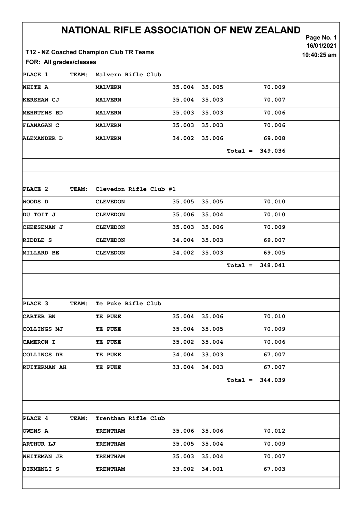| FOR: All grades/classes |              | NATIONAL RIFLE ASSOCIATION OF NEW ZEALAND<br>T12 - NZ Coached Champion Club TR Teams |        |        |           |         | Page No. 1<br>16/01/2021<br>10:40:25 am |
|-------------------------|--------------|--------------------------------------------------------------------------------------|--------|--------|-----------|---------|-----------------------------------------|
| PLACE 1                 | <b>TEAM:</b> | Malvern Rifle Club                                                                   |        |        |           |         |                                         |
| <b>WHITE A</b>          |              | <b>MALVERN</b>                                                                       | 35.004 | 35.005 |           | 70.009  |                                         |
| <b>KERSHAW CJ</b>       |              | <b>MALVERN</b>                                                                       | 35.004 | 35.003 |           | 70.007  |                                         |
| <b>MEHRTENS BD</b>      |              | <b>MALVERN</b>                                                                       | 35.003 | 35.003 |           | 70.006  |                                         |
| <b>FLANAGAN C</b>       |              | <b>MALVERN</b>                                                                       | 35.003 | 35.003 |           | 70.006  |                                         |
| <b>ALEXANDER D</b>      |              | <b>MALVERN</b>                                                                       | 34.002 | 35.006 |           | 69.008  |                                         |
|                         |              |                                                                                      |        |        | $Total =$ | 349.036 |                                         |
| PLACE 2                 | TEAM:        | Clevedon Rifle Club #1                                                               |        |        |           |         |                                         |
| WOODS D                 |              | <b>CLEVEDON</b>                                                                      | 35.005 | 35.005 |           | 70.010  |                                         |
| DU TOIT J               |              | <b>CLEVEDON</b>                                                                      | 35.006 | 35.004 |           | 70.010  |                                         |
| CHEESEMAN J             |              | <b>CLEVEDON</b>                                                                      | 35.003 | 35.006 |           | 70.009  |                                         |
| RIDDLE S                |              | <b>CLEVEDON</b>                                                                      | 34.004 | 35.003 |           | 69.007  |                                         |
| <b>MILLARD BE</b>       |              | <b>CLEVEDON</b>                                                                      | 34.002 | 35.003 |           | 69.005  |                                         |
|                         |              |                                                                                      |        |        | $Total =$ | 348.041 |                                         |
| PLACE 3                 | TEAM:        | Te Puke Rifle Club                                                                   |        |        |           |         |                                         |
| <b>CARTER BN</b>        |              | TE PUKE                                                                              | 35.004 | 35.006 |           | 70.010  |                                         |
| COLLINGS MJ             |              | TE PUKE                                                                              | 35.004 | 35.005 |           | 70.009  |                                         |
| <b>CAMERON I</b>        |              | TE PUKE                                                                              | 35.002 | 35.004 |           | 70.006  |                                         |
| COLLINGS DR             |              | TE PUKE                                                                              | 34.004 | 33.003 |           | 67.007  |                                         |
| <b>RUITERMAN AH</b>     |              | TE PUKE                                                                              | 33.004 | 34.003 |           | 67.007  |                                         |
|                         |              |                                                                                      |        |        | $Total =$ | 344.039 |                                         |
| <b>PLACE 4</b>          | <b>TEAM:</b> | Trentham Rifle Club                                                                  |        |        |           |         |                                         |
| OWENS A                 |              | <b>TRENTHAM</b>                                                                      | 35.006 | 35.006 |           | 70.012  |                                         |
| <b>ARTHUR LJ</b>        |              | <b>TRENTHAM</b>                                                                      | 35.005 | 35.004 |           | 70.009  |                                         |
| <b>WHITEMAN JR</b>      |              | <b>TRENTHAM</b>                                                                      | 35.003 | 35.004 |           | 70.007  |                                         |
| DIKMENLI S              |              | <b>TRENTHAM</b>                                                                      | 33.002 | 34.001 |           | 67.003  |                                         |

Ī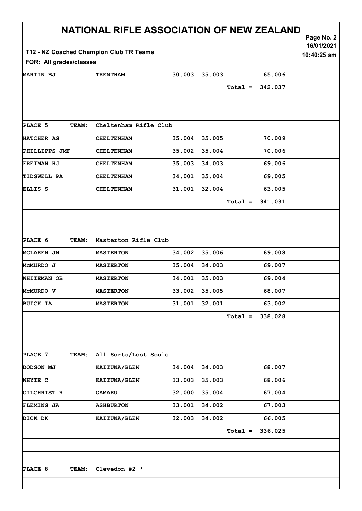| NATIONAL RIFLE ASSOCIATION OF NEW ZEALAND<br>Page No. 2<br>16/01/2021             |                      |                       |        |                      |  |  |  |
|-----------------------------------------------------------------------------------|----------------------|-----------------------|--------|----------------------|--|--|--|
| T12 - NZ Coached Champion Club TR Teams<br>10:40:25 am<br>FOR: All grades/classes |                      |                       |        |                      |  |  |  |
| <b>MARTIN BJ</b>                                                                  | <b>TRENTHAM</b>      | 30.003                | 35.003 | 65.006               |  |  |  |
|                                                                                   |                      |                       |        | $Total = 342.037$    |  |  |  |
|                                                                                   |                      |                       |        |                      |  |  |  |
|                                                                                   |                      |                       |        |                      |  |  |  |
| PLACE 5<br>TEAM:                                                                  |                      | Cheltenham Rifle Club |        |                      |  |  |  |
| <b>HATCHER AG</b>                                                                 | <b>CHELTENHAM</b>    | 35.004                | 35.005 | 70.009               |  |  |  |
| <b>PHILLIPPS JMF</b>                                                              | <b>CHELTENHAM</b>    | 35.002                | 35.004 | 70.006               |  |  |  |
| <b>FREIMAN HJ</b>                                                                 | <b>CHELTENHAM</b>    | 35.003                | 34.003 | 69.006               |  |  |  |
| <b>TIDSWELL PA</b>                                                                | <b>CHELTENHAM</b>    | 34.001                | 35.004 | 69.005               |  |  |  |
| ELLIS S                                                                           | <b>CHELTENHAM</b>    | 31.001                | 32.004 | 63.005               |  |  |  |
|                                                                                   |                      |                       |        | $Total = 341.031$    |  |  |  |
|                                                                                   |                      |                       |        |                      |  |  |  |
|                                                                                   |                      |                       |        |                      |  |  |  |
| PLACE 6<br>TEAM:                                                                  | Masterton Rifle Club |                       |        |                      |  |  |  |
| MCLAREN JN                                                                        | <b>MASTERTON</b>     | 34.002                | 35.006 | 69.008               |  |  |  |
| McMURDO J                                                                         | <b>MASTERTON</b>     | 35.004                | 34.003 | 69.007               |  |  |  |
| WHITEMAN OB                                                                       | <b>MASTERTON</b>     | 34.001                | 35.003 | 69.004               |  |  |  |
| MCMURDO V                                                                         | <b>MASTERTON</b>     | 33.002                | 35.005 | 68.007               |  |  |  |
| <b>BUICK IA</b>                                                                   | <b>MASTERTON</b>     | 31.001                | 32.001 | 63.002               |  |  |  |
|                                                                                   |                      |                       |        | 338.028<br>$Total =$ |  |  |  |
|                                                                                   |                      |                       |        |                      |  |  |  |
|                                                                                   |                      |                       |        |                      |  |  |  |
| PLACE 7<br><b>TEAM:</b>                                                           | All Sorts/Lost Souls |                       |        |                      |  |  |  |
| DODSON MJ                                                                         | KAITUNA/BLEN         | 34.004                | 34.003 | 68.007               |  |  |  |
| WHYTE C                                                                           | KAITUNA/BLEN         | 33.003                | 35.003 | 68.006               |  |  |  |
| <b>GILCHRIST R</b>                                                                | <b>OAMARU</b>        | 32.000                | 35.004 | 67.004               |  |  |  |
| <b>FLEMING JA</b>                                                                 | <b>ASHBURTON</b>     | 33.001                | 34.002 | 67.003               |  |  |  |
| DICK DK                                                                           | KAITUNA/BLEN         | 32.003                | 34.002 | 66.005               |  |  |  |
|                                                                                   |                      |                       |        | 336.025<br>$Total =$ |  |  |  |
|                                                                                   |                      |                       |        |                      |  |  |  |
|                                                                                   |                      |                       |        |                      |  |  |  |
| PLACE 8<br><b>TEAM:</b>                                                           | Clevedon #2 *        |                       |        |                      |  |  |  |
|                                                                                   |                      |                       |        |                      |  |  |  |